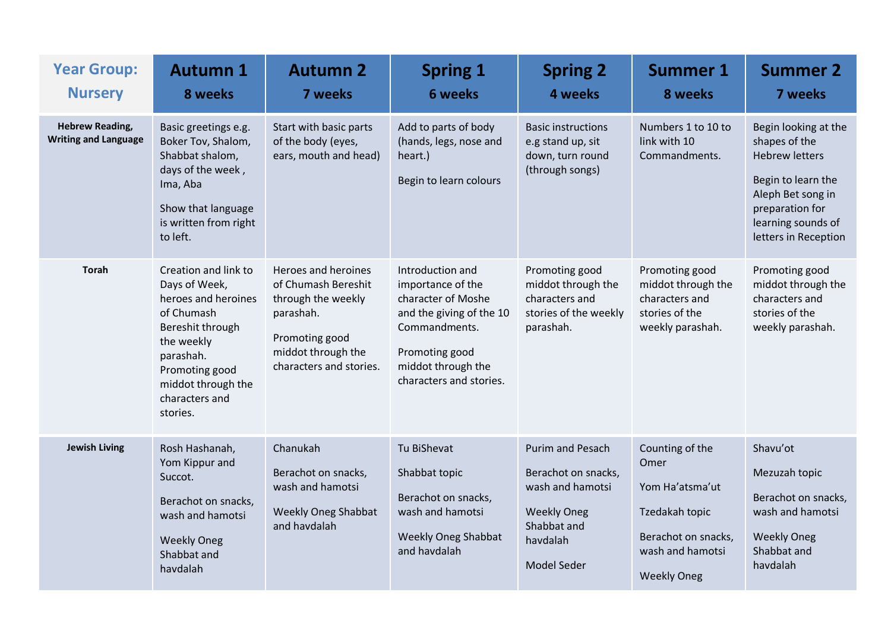| <b>Year Group:</b><br><b>Nursery</b>                  | <b>Autumn 1</b><br>8 weeks                                                                                                                                                                      | <b>Autumn 2</b><br>7 weeks                                                                                                                       | <b>Spring 1</b><br><b>6 weeks</b>                                                                                                                                           | <b>Spring 2</b><br>4 weeks                                                                                                         | <b>Summer 1</b><br>8 weeks                                                                                                    | <b>Summer 2</b><br>7 weeks                                                                                                                                                 |
|-------------------------------------------------------|-------------------------------------------------------------------------------------------------------------------------------------------------------------------------------------------------|--------------------------------------------------------------------------------------------------------------------------------------------------|-----------------------------------------------------------------------------------------------------------------------------------------------------------------------------|------------------------------------------------------------------------------------------------------------------------------------|-------------------------------------------------------------------------------------------------------------------------------|----------------------------------------------------------------------------------------------------------------------------------------------------------------------------|
| <b>Hebrew Reading,</b><br><b>Writing and Language</b> | Basic greetings e.g.<br>Boker Tov, Shalom,<br>Shabbat shalom,<br>days of the week,<br>Ima, Aba<br>Show that language<br>is written from right<br>to left.                                       | Start with basic parts<br>of the body (eyes,<br>ears, mouth and head)                                                                            | Add to parts of body<br>(hands, legs, nose and<br>heart.)<br>Begin to learn colours                                                                                         | <b>Basic instructions</b><br>e.g stand up, sit<br>down, turn round<br>(through songs)                                              | Numbers 1 to 10 to<br>link with 10<br>Commandments.                                                                           | Begin looking at the<br>shapes of the<br><b>Hebrew letters</b><br>Begin to learn the<br>Aleph Bet song in<br>preparation for<br>learning sounds of<br>letters in Reception |
| <b>Torah</b>                                          | Creation and link to<br>Days of Week,<br>heroes and heroines<br>of Chumash<br>Bereshit through<br>the weekly<br>parashah.<br>Promoting good<br>middot through the<br>characters and<br>stories. | Heroes and heroines<br>of Chumash Bereshit<br>through the weekly<br>parashah.<br>Promoting good<br>middot through the<br>characters and stories. | Introduction and<br>importance of the<br>character of Moshe<br>and the giving of the 10<br>Commandments.<br>Promoting good<br>middot through the<br>characters and stories. | Promoting good<br>middot through the<br>characters and<br>stories of the weekly<br>parashah.                                       | Promoting good<br>middot through the<br>characters and<br>stories of the<br>weekly parashah.                                  | Promoting good<br>middot through the<br>characters and<br>stories of the<br>weekly parashah.                                                                               |
| <b>Jewish Living</b>                                  | Rosh Hashanah,<br>Yom Kippur and<br>Succot.<br>Berachot on snacks,<br>wash and hamotsi<br><b>Weekly Oneg</b><br>Shabbat and<br>havdalah                                                         | Chanukah<br>Berachot on snacks,<br>wash and hamotsi<br><b>Weekly Oneg Shabbat</b><br>and havdalah                                                | Tu BiShevat<br>Shabbat topic<br>Berachot on snacks,<br>wash and hamotsi<br><b>Weekly Oneg Shabbat</b><br>and havdalah                                                       | <b>Purim and Pesach</b><br>Berachot on snacks,<br>wash and hamotsi<br><b>Weekly Oneg</b><br>Shabbat and<br>havdalah<br>Model Seder | Counting of the<br>Omer<br>Yom Ha'atsma'ut<br>Tzedakah topic<br>Berachot on snacks,<br>wash and hamotsi<br><b>Weekly Oneg</b> | Shavu'ot<br>Mezuzah topic<br>Berachot on snacks,<br>wash and hamotsi<br><b>Weekly Oneg</b><br>Shabbat and<br>havdalah                                                      |